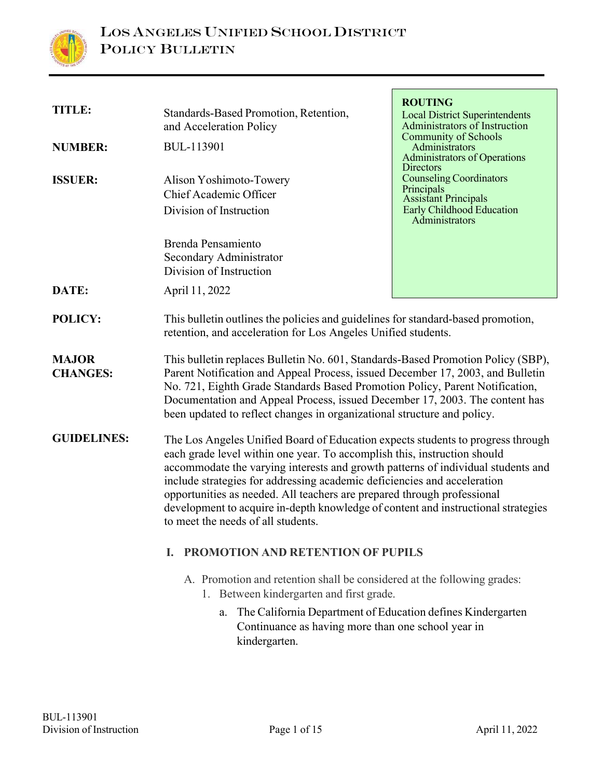

| <b>TITLE:</b><br><b>NUMBER:</b><br><b>ISSUER:</b> | Standards-Based Promotion, Retention,<br>and Acceleration Policy<br><b>BUL-113901</b><br>Alison Yoshimoto-Towery<br>Chief Academic Officer<br>Division of Instruction                                                                                                                                                                                                                                                                                                                                                             | <b>ROUTING</b><br><b>Local District Superintendents</b><br>Administrators of Instruction<br><b>Community of Schools</b><br>Administrators<br><b>Administrators of Operations</b><br>Directors<br><b>Counseling Coordinators</b><br>Principals<br><b>Assistant Principals</b><br><b>Early Childhood Education</b><br>Administrators |
|---------------------------------------------------|-----------------------------------------------------------------------------------------------------------------------------------------------------------------------------------------------------------------------------------------------------------------------------------------------------------------------------------------------------------------------------------------------------------------------------------------------------------------------------------------------------------------------------------|------------------------------------------------------------------------------------------------------------------------------------------------------------------------------------------------------------------------------------------------------------------------------------------------------------------------------------|
| DATE:                                             | <b>Brenda Pensamiento</b><br>Secondary Administrator<br>Division of Instruction<br>April 11, 2022                                                                                                                                                                                                                                                                                                                                                                                                                                 |                                                                                                                                                                                                                                                                                                                                    |
| <b>POLICY:</b>                                    | This bulletin outlines the policies and guidelines for standard-based promotion,<br>retention, and acceleration for Los Angeles Unified students.                                                                                                                                                                                                                                                                                                                                                                                 |                                                                                                                                                                                                                                                                                                                                    |
| <b>MAJOR</b><br><b>CHANGES:</b>                   | This bulletin replaces Bulletin No. 601, Standards-Based Promotion Policy (SBP),<br>Parent Notification and Appeal Process, issued December 17, 2003, and Bulletin<br>No. 721, Eighth Grade Standards Based Promotion Policy, Parent Notification,<br>Documentation and Appeal Process, issued December 17, 2003. The content has<br>been updated to reflect changes in organizational structure and policy.                                                                                                                      |                                                                                                                                                                                                                                                                                                                                    |
| <b>GUIDELINES:</b>                                | The Los Angeles Unified Board of Education expects students to progress through<br>each grade level within one year. To accomplish this, instruction should<br>accommodate the varying interests and growth patterns of individual students and<br>include strategies for addressing academic deficiencies and acceleration<br>opportunities as needed. All teachers are prepared through professional<br>development to acquire in-depth knowledge of content and instructional strategies<br>to meet the needs of all students. |                                                                                                                                                                                                                                                                                                                                    |
|                                                   | <b>PROMOTION AND RETENTION OF PUPILS</b><br>L.                                                                                                                                                                                                                                                                                                                                                                                                                                                                                    |                                                                                                                                                                                                                                                                                                                                    |
|                                                   | A. Promotion and retention shall be considered at the following grades:<br>1. Between kindergarten and first grade.<br>The California Department of Education defines Kindergarten<br>a.<br>Continuance as having more than one school year in<br>kindergarten.                                                                                                                                                                                                                                                                   |                                                                                                                                                                                                                                                                                                                                    |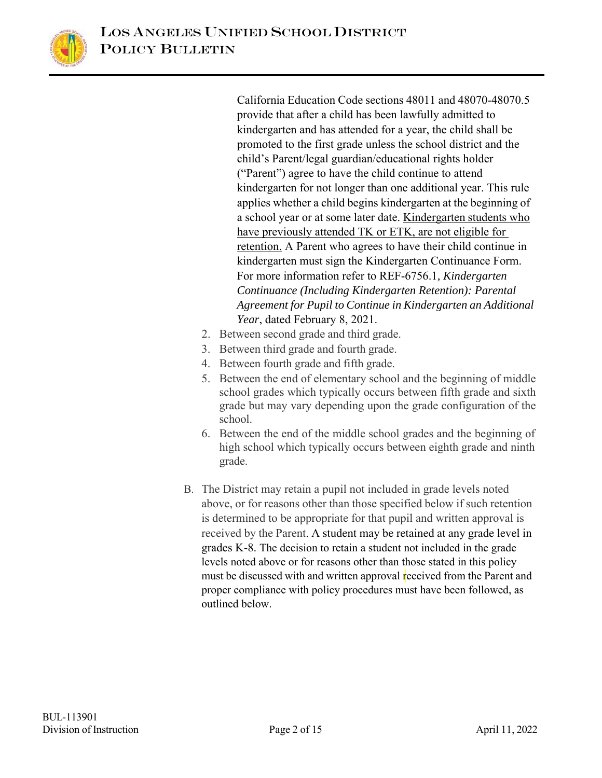

California Education Code sections 48011 and 48070-48070.5 provide that after a child has been lawfully admitted to kindergarten and has attended for a year, the child shall be promoted to the first grade unless the school district and the child's Parent/legal guardian/educational rights holder ("Parent") agree to have the child continue to attend kindergarten for not longer than one additional year. This rule applies whether a child begins kindergarten at the beginning of a school year or at some later date. Kindergarten students who have previously attended TK or ETK, are not eligible for retention. A Parent who agrees to have their child continue in kindergarten must sign the Kindergarten Continuance Form. For more information refer to REF-6756.1*, Kindergarten Continuance (Including Kindergarten Retention): Parental Agreement for Pupil to Continue in Kindergarten an Additional Year*, dated February 8, 2021.

- 2. Between second grade and third grade.
- 3. Between third grade and fourth grade.
- 4. Between fourth grade and fifth grade.
- 5. Between the end of elementary school and the beginning of middle school grades which typically occurs between fifth grade and sixth grade but may vary depending upon the grade configuration of the school.
- 6. Between the end of the middle school grades and the beginning of high school which typically occurs between eighth grade and ninth grade.
- B. The District may retain a pupil not included in grade levels noted above, or for reasons other than those specified below if such retention is determined to be appropriate for that pupil and written approval is received by the Parent. A student may be retained at any grade level in grades K-8. The decision to retain a student not included in the grade levels noted above or for reasons other than those stated in this policy must be discussed with and written approval received from the Parent and proper compliance with policy procedures must have been followed, as outlined below.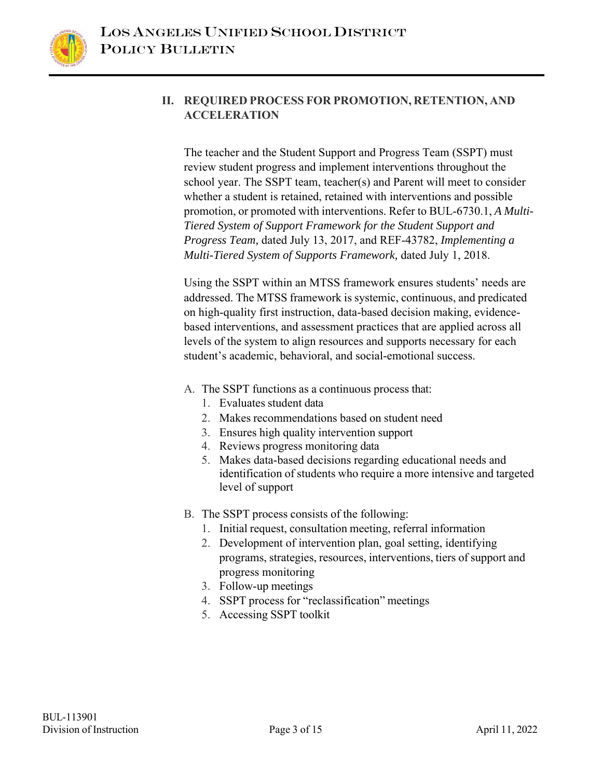

## **II. REQUIRED PROCESS FOR PROMOTION, RETENTION, AND ACCELERATION**

The teacher and the Student Support and Progress Team (SSPT) must review student progress and implement interventions throughout the school year. The SSPT team, teacher(s) and Parent will meet to consider whether a student is retained, retained with interventions and possible promotion, or promoted with interventions. Refer to BUL-6730.1, *A Multi-Tiered System of Support Framework for the Student Support and Progress Team,* dated July 13, 2017, and REF-43782, *Implementing a Multi-Tiered System of Supports Framework,* dated July 1, 2018.

Using the SSPT within an MTSS framework ensures students' needs are addressed. The MTSS framework is systemic, continuous, and predicated on high-quality first instruction, data-based decision making, evidencebased interventions, and assessment practices that are applied across all levels of the system to align resources and supports necessary for each student's academic, behavioral, and social-emotional success.

- A. The SSPT functions as a continuous process that:
	- 1. Evaluates student data
	- 2. Makes recommendations based on student need
	- 3. Ensures high quality intervention support
	- 4. Reviews progress monitoring data
	- 5. Makes data-based decisions regarding educational needs and identification of students who require a more intensive and targeted level of support
- B. The SSPT process consists of the following:
	- 1. Initial request, consultation meeting, referral information
	- 2. Development of intervention plan, goal setting, identifying programs, strategies, resources, interventions, tiers of support and progress monitoring
	- 3. Follow-up meetings
	- 4. SSPT process for "reclassification" meetings
	- 5. Accessing SSPT toolkit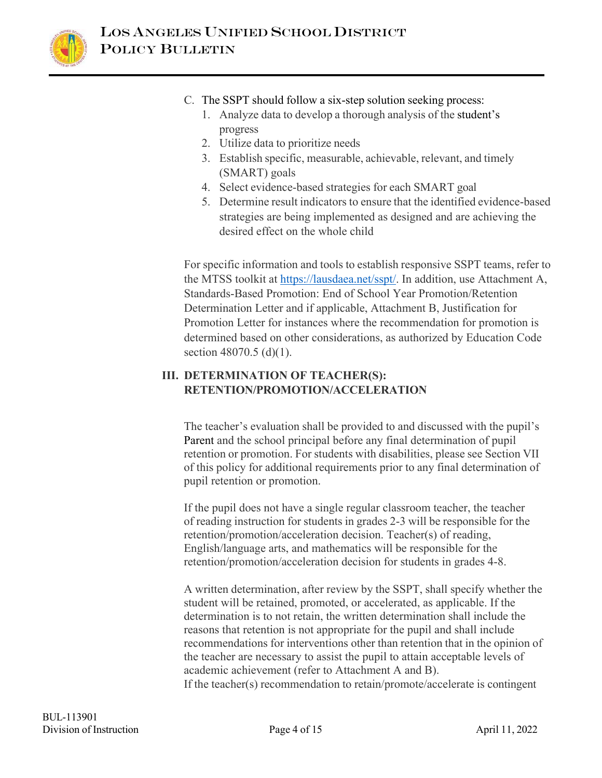

- C. The SSPT should follow a six-step solution seeking process:
	- 1. Analyze data to develop a thorough analysis of the student's progress
	- 2. Utilize data to prioritize needs
	- 3. Establish specific, measurable, achievable, relevant, and timely (SMART) goals
	- 4. Select evidence-based strategies for each SMART goal
	- 5. Determine result indicators to ensure that the identified evidence-based strategies are being implemented as designed and are achieving the desired effect on the whole child

For specific information and tools to establish responsive SSPT teams, refer to the MTSS toolkit at https://lausdaea.net/sspt/. In addition, use Attachment A, Standards-Based Promotion: End of School Year Promotion/Retention Determination Letter and if applicable, Attachment B, Justification for Promotion Letter for instances where the recommendation for promotion is determined based on other considerations, as authorized by Education Code section 48070.5 (d)(1).

## **III. DETERMINATION OF TEACHER(S): RETENTION/PROMOTION/ACCELERATION**

The teacher's evaluation shall be provided to and discussed with the pupil's Parent and the school principal before any final determination of pupil retention or promotion. For students with disabilities, please see Section VII of this policy for additional requirements prior to any final determination of pupil retention or promotion.

If the pupil does not have a single regular classroom teacher, the teacher of reading instruction for students in grades 2-3 will be responsible for the retention/promotion/acceleration decision. Teacher(s) of reading, English/language arts, and mathematics will be responsible for the retention/promotion/acceleration decision for students in grades 4-8.

A written determination, after review by the SSPT, shall specify whether the student will be retained, promoted, or accelerated, as applicable. If the determination is to not retain, the written determination shall include the reasons that retention is not appropriate for the pupil and shall include recommendations for interventions other than retention that in the opinion of the teacher are necessary to assist the pupil to attain acceptable levels of academic achievement (refer to Attachment A and B). If the teacher(s) recommendation to retain/promote/accelerate is contingent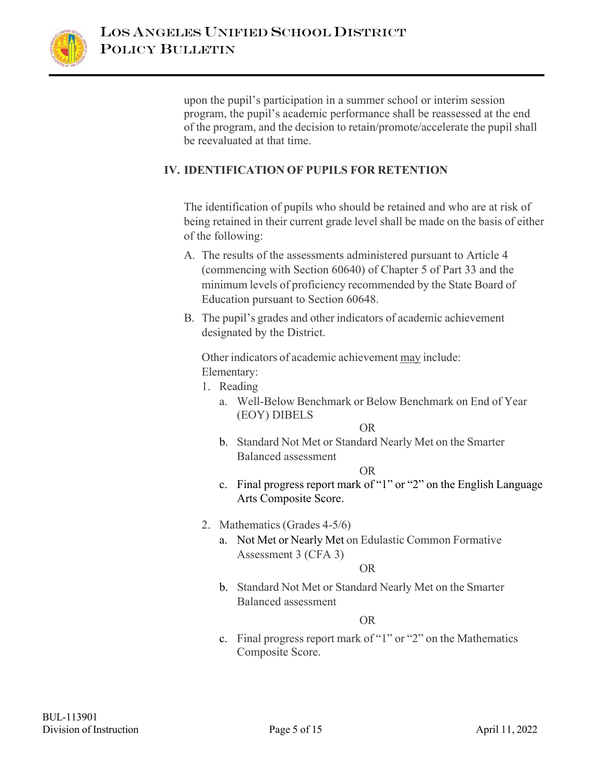

upon the pupil's participation in a summer school or interim session program, the pupil's academic performance shall be reassessed at the end of the program, and the decision to retain/promote/accelerate the pupil shall be reevaluated at that time.

## **IV. IDENTIFICATION OF PUPILS FOR RETENTION**

The identification of pupils who should be retained and who are at risk of being retained in their current grade level shall be made on the basis of either of the following:

- A. The results of the assessments administered pursuant to Article 4 (commencing with Section 60640) of Chapter 5 of Part 33 and the minimum levels of proficiency recommended by the State Board of Education pursuant to Section 60648.
- B. The pupil's grades and other indicators of academic achievement designated by the District.

Other indicators of academic achievement may include: Elementary:

- 1. Reading
	- a. Well-Below Benchmark or Below Benchmark on End of Year (EOY) DIBELS

OR

b. Standard Not Met or Standard Nearly Met on the Smarter Balanced assessment

OR

- c. Final progress report mark of "1" or "2" on the English Language Arts Composite Score.
- 2. Mathematics (Grades 4-5/6)
	- a. Not Met or Nearly Met on Edulastic Common Formative Assessment 3 (CFA 3)

OR

b. Standard Not Met or Standard Nearly Met on the Smarter Balanced assessment

OR

c. Final progress report mark of "1" or "2" on the Mathematics Composite Score.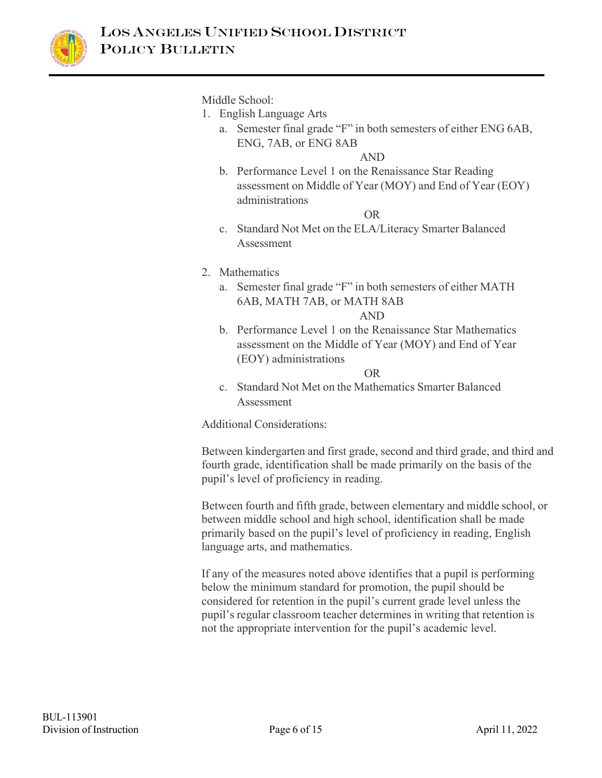

Middle School:

- 1. English Language Arts
	- a. Semester final grade "F" in both semesters of either ENG 6AB, ENG, 7AB, or ENG 8AB

AND

b. Performance Level 1 on the Renaissance Star Reading assessment on Middle of Year (MOY) and End of Year (EOY) administrations

OR

c. Standard Not Met on the ELA/Literacy Smarter Balanced Assessment

## 2. Mathematics

- a. Semester final grade "F" in both semesters of either MATH 6AB, MATH 7AB, or MATH 8AB AND
- b. Performance Level 1 on the Renaissance Star Mathematics assessment on the Middle of Year (MOY) and End of Year (EOY) administrations

OR

c. Standard Not Met on the Mathematics Smarter Balanced Assessment

Additional Considerations:

Between kindergarten and first grade, second and third grade, and third and fourth grade, identification shall be made primarily on the basis of the pupil's level of proficiency in reading.

Between fourth and fifth grade, between elementary and middle school, or between middle school and high school, identification shall be made primarily based on the pupil's level of proficiency in reading, English language arts, and mathematics.

If any of the measures noted above identifies that a pupil is performing below the minimum standard for promotion, the pupil should be considered for retention in the pupil's current grade level unless the pupil's regular classroom teacher determines in writing that retention is not the appropriate intervention for the pupil's academic level.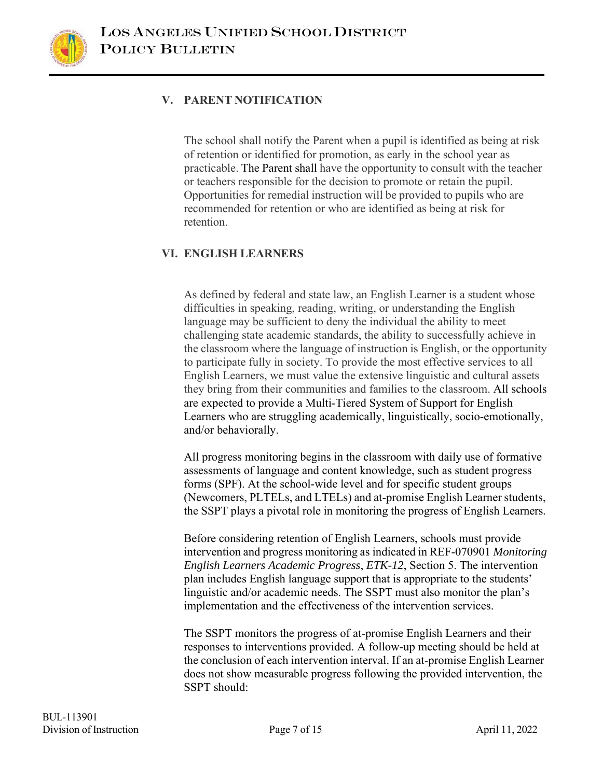

## **V. PARENT NOTIFICATION**

The school shall notify the Parent when a pupil is identified as being at risk of retention or identified for promotion, as early in the school year as practicable. The Parent shall have the opportunity to consult with the teacher or teachers responsible for the decision to promote or retain the pupil. Opportunities for remedial instruction will be provided to pupils who are recommended for retention or who are identified as being at risk for retention.

## **VI. ENGLISH LEARNERS**

As defined by federal and state law, an English Learner is a student whose difficulties in speaking, reading, writing, or understanding the English language may be sufficient to deny the individual the ability to meet challenging state academic standards, the ability to successfully achieve in the classroom where the language of instruction is English, or the opportunity to participate fully in society. To provide the most effective services to all English Learners, we must value the extensive linguistic and cultural assets they bring from their communities and families to the classroom. All schools are expected to provide a Multi-Tiered System of Support for English Learners who are struggling academically, linguistically, socio-emotionally, and/or behaviorally.

All progress monitoring begins in the classroom with daily use of formative assessments of language and content knowledge, such as student progress forms (SPF). At the school-wide level and for specific student groups (Newcomers, PLTELs, and LTELs) and at-promise English Learner students, the SSPT plays a pivotal role in monitoring the progress of English Learners.

Before considering retention of English Learners, schools must provide intervention and progress monitoring as indicated in REF-070901 *Monitoring English Learners Academic Progress*, *ETK-12*, Section 5. The intervention plan includes English language support that is appropriate to the students' linguistic and/or academic needs. The SSPT must also monitor the plan's implementation and the effectiveness of the intervention services.

The SSPT monitors the progress of at-promise English Learners and their responses to interventions provided. A follow-up meeting should be held at the conclusion of each intervention interval. If an at-promise English Learner does not show measurable progress following the provided intervention, the SSPT should: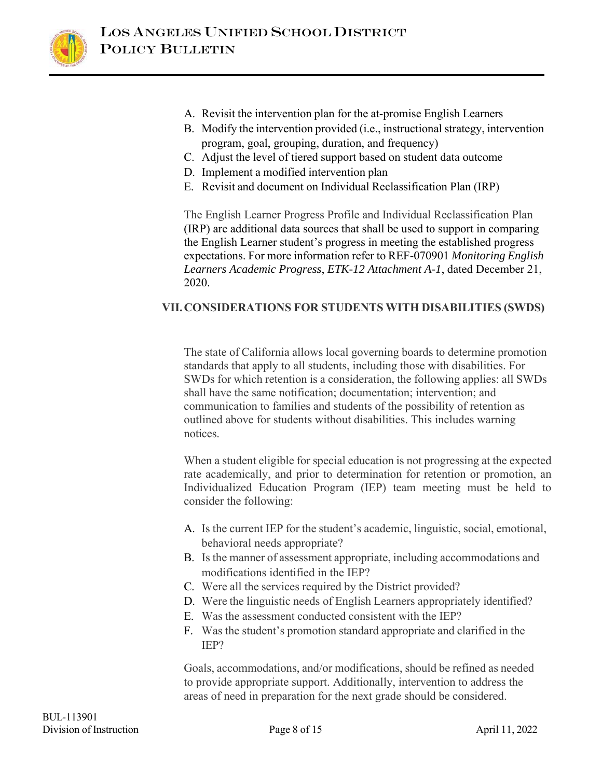

- A. Revisit the intervention plan for the at-promise English Learners
- B. Modify the intervention provided (i.e., instructional strategy, intervention program, goal, grouping, duration, and frequency)
- C. Adjust the level of tiered support based on student data outcome
- D. Implement a modified intervention plan
- E. Revisit and document on Individual Reclassification Plan (IRP)

The English Learner Progress Profile and Individual Reclassification Plan (IRP) are additional data sources that shall be used to support in comparing the English Learner student's progress in meeting the established progress expectations. For more information refer to REF-070901 *Monitoring English Learners Academic Progress*, *ETK-12 Attachment A-1*, dated December 21, 2020.

## **VII.CONSIDERATIONS FOR STUDENTS WITH DISABILITIES (SWDS)**

The state of California allows local governing boards to determine promotion standards that apply to all students, including those with disabilities. For SWDs for which retention is a consideration, the following applies: all SWDs shall have the same notification; documentation; intervention; and communication to families and students of the possibility of retention as outlined above for students without disabilities. This includes warning notices.

When a student eligible for special education is not progressing at the expected rate academically, and prior to determination for retention or promotion, an Individualized Education Program (IEP) team meeting must be held to consider the following:

- A. Is the current IEP for the student's academic, linguistic, social, emotional, behavioral needs appropriate?
- B. Is the manner of assessment appropriate, including accommodations and modifications identified in the IEP?
- C. Were all the services required by the District provided?
- D. Were the linguistic needs of English Learners appropriately identified?
- E. Was the assessment conducted consistent with the IEP?
- F. Was the student's promotion standard appropriate and clarified in the IEP?

Goals, accommodations, and/or modifications, should be refined as needed to provide appropriate support. Additionally, intervention to address the areas of need in preparation for the next grade should be considered.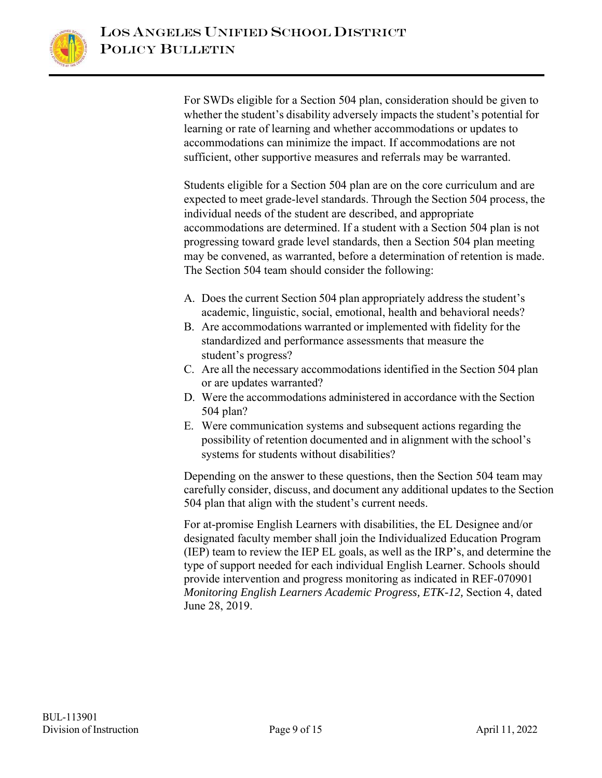

For SWDs eligible for a Section 504 plan, consideration should be given to whether the student's disability adversely impacts the student's potential for learning or rate of learning and whether accommodations or updates to accommodations can minimize the impact. If accommodations are not sufficient, other supportive measures and referrals may be warranted.

Students eligible for a Section 504 plan are on the core curriculum and are expected to meet grade-level standards. Through the Section 504 process, the individual needs of the student are described, and appropriate accommodations are determined. If a student with a Section 504 plan is not progressing toward grade level standards, then a Section 504 plan meeting may be convened, as warranted, before a determination of retention is made. The Section 504 team should consider the following:

- A. Does the current Section 504 plan appropriately address the student's academic, linguistic, social, emotional, health and behavioral needs?
- B. Are accommodations warranted or implemented with fidelity for the standardized and performance assessments that measure the student's progress?
- C. Are all the necessary accommodations identified in the Section 504 plan or are updates warranted?
- D. Were the accommodations administered in accordance with the Section 504 plan?
- E. Were communication systems and subsequent actions regarding the possibility of retention documented and in alignment with the school's systems for students without disabilities?

Depending on the answer to these questions, then the Section 504 team may carefully consider, discuss, and document any additional updates to the Section 504 plan that align with the student's current needs.

For at-promise English Learners with disabilities, the EL Designee and/or designated faculty member shall join the Individualized Education Program (IEP) team to review the IEP EL goals, as well as the IRP's, and determine the type of support needed for each individual English Learner. Schools should provide intervention and progress monitoring as indicated in REF-070901 *Monitoring English Learners Academic Progress, ETK-12,* Section 4, dated June 28, 2019.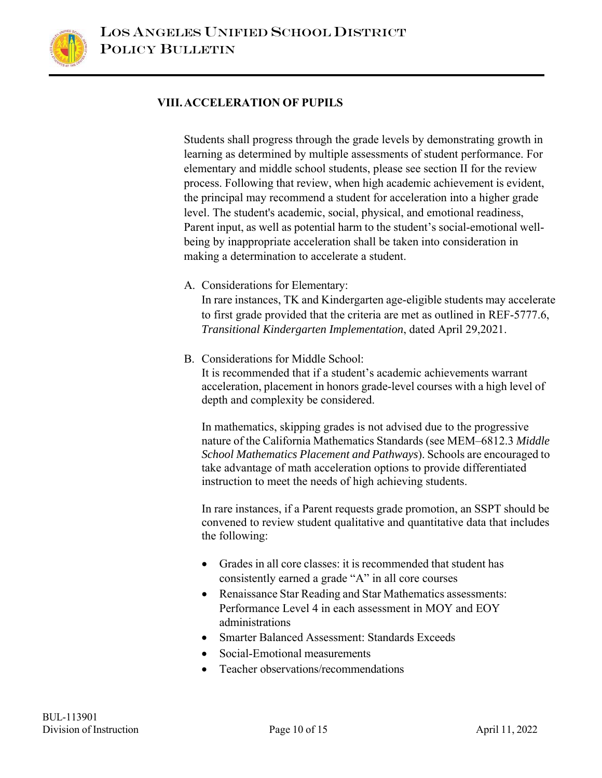#### **VIII.ACCELERATION OF PUPILS**

Students shall progress through the grade levels by demonstrating growth in learning as determined by multiple assessments of student performance. For elementary and middle school students, please see section II for the review process. Following that review, when high academic achievement is evident, the principal may recommend a student for acceleration into a higher grade level. The student's academic, social, physical, and emotional readiness, Parent input, as well as potential harm to the student's social-emotional wellbeing by inappropriate acceleration shall be taken into consideration in making a determination to accelerate a student.

A. Considerations for Elementary:

In rare instances, TK and Kindergarten age-eligible students may accelerate to first grade provided that the criteria are met as outlined in REF-5777.6, *Transitional Kindergarten Implementation*, dated April 29,2021.

B. Considerations for Middle School:

It is recommended that if a student's academic achievements warrant acceleration, placement in honors grade-level courses with a high level of depth and complexity be considered.

In mathematics, skipping grades is not advised due to the progressive nature of the California Mathematics Standards (see MEM–6812.3 *Middle School Mathematics Placement and Pathways*). Schools are encouraged to take advantage of math acceleration options to provide differentiated instruction to meet the needs of high achieving students.

In rare instances, if a Parent requests grade promotion, an SSPT should be convened to review student qualitative and quantitative data that includes the following:

- Grades in all core classes: it is recommended that student has consistently earned a grade "A" in all core courses
- Renaissance Star Reading and Star Mathematics assessments: Performance Level 4 in each assessment in MOY and EOY administrations
- Smarter Balanced Assessment: Standards Exceeds
- Social-Emotional measurements
- Teacher observations/recommendations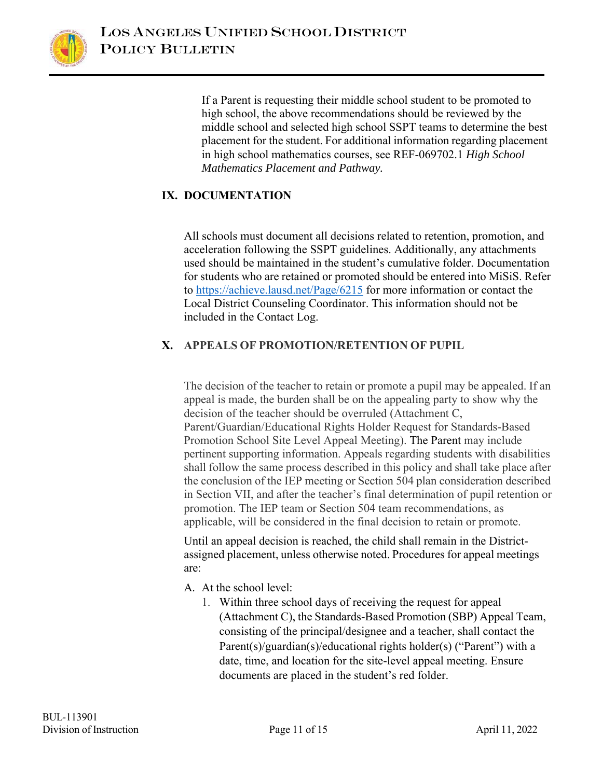

If a Parent is requesting their middle school student to be promoted to high school, the above recommendations should be reviewed by the middle school and selected high school SSPT teams to determine the best placement for the student. For additional information regarding placement in high school mathematics courses, see REF-069702.1 *High School Mathematics Placement and Pathway.* 

## **IX. DOCUMENTATION**

All schools must document all decisions related to retention, promotion, and acceleration following the SSPT guidelines. Additionally, any attachments used should be maintained in the student's cumulative folder. Documentation for students who are retained or promoted should be entered into MiSiS. Refer to https://achieve.lausd.net/Page/6215 for more information or contact the Local District Counseling Coordinator. This information should not be included in the Contact Log.

## **X. APPEALS OF PROMOTION/RETENTION OF PUPIL**

The decision of the teacher to retain or promote a pupil may be appealed. If an appeal is made, the burden shall be on the appealing party to show why the decision of the teacher should be overruled (Attachment C, Parent/Guardian/Educational Rights Holder Request for Standards-Based Promotion School Site Level Appeal Meeting). The Parent may include pertinent supporting information. Appeals regarding students with disabilities shall follow the same process described in this policy and shall take place after the conclusion of the IEP meeting or Section 504 plan consideration described in Section VII, and after the teacher's final determination of pupil retention or promotion. The IEP team or Section 504 team recommendations, as applicable, will be considered in the final decision to retain or promote.

Until an appeal decision is reached, the child shall remain in the Districtassigned placement, unless otherwise noted. Procedures for appeal meetings are:

- A. At the school level:
	- 1. Within three school days of receiving the request for appeal (Attachment C), the Standards-Based Promotion (SBP) Appeal Team, consisting of the principal/designee and a teacher, shall contact the Parent(s)/guardian(s)/educational rights holder(s) ("Parent") with a date, time, and location for the site-level appeal meeting. Ensure documents are placed in the student's red folder.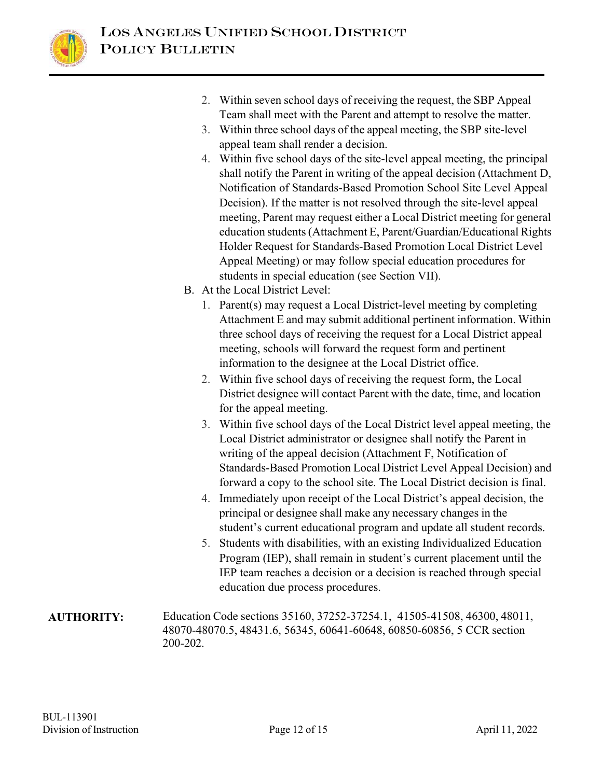

- 2. Within seven school days of receiving the request, the SBP Appeal Team shall meet with the Parent and attempt to resolve the matter.
- 3. Within three school days of the appeal meeting, the SBP site-level appeal team shall render a decision.
- 4. Within five school days of the site-level appeal meeting, the principal shall notify the Parent in writing of the appeal decision (Attachment D, Notification of Standards-Based Promotion School Site Level Appeal Decision). If the matter is not resolved through the site-level appeal meeting, Parent may request either a Local District meeting for general education students (Attachment E, Parent/Guardian/Educational Rights Holder Request for Standards-Based Promotion Local District Level Appeal Meeting) or may follow special education procedures for students in special education (see Section VII).
- B. At the Local District Level:
	- 1. Parent(s) may request a Local District-level meeting by completing Attachment E and may submit additional pertinent information. Within three school days of receiving the request for a Local District appeal meeting, schools will forward the request form and pertinent information to the designee at the Local District office.
	- 2. Within five school days of receiving the request form, the Local District designee will contact Parent with the date, time, and location for the appeal meeting.
	- 3. Within five school days of the Local District level appeal meeting, the Local District administrator or designee shall notify the Parent in writing of the appeal decision (Attachment F, Notification of Standards-Based Promotion Local District Level Appeal Decision) and forward a copy to the school site. The Local District decision is final.
	- 4. Immediately upon receipt of the Local District's appeal decision, the principal or designee shall make any necessary changes in the student's current educational program and update all student records.
	- 5. Students with disabilities, with an existing Individualized Education Program (IEP), shall remain in student's current placement until the IEP team reaches a decision or a decision is reached through special education due process procedures.
- **AUTHORITY:** Education Code sections 35160, 37252-37254.1, 41505-41508, 46300, 48011, 48070-48070.5, 48431.6, 56345, 60641-60648, 60850-60856, 5 CCR section 200-202.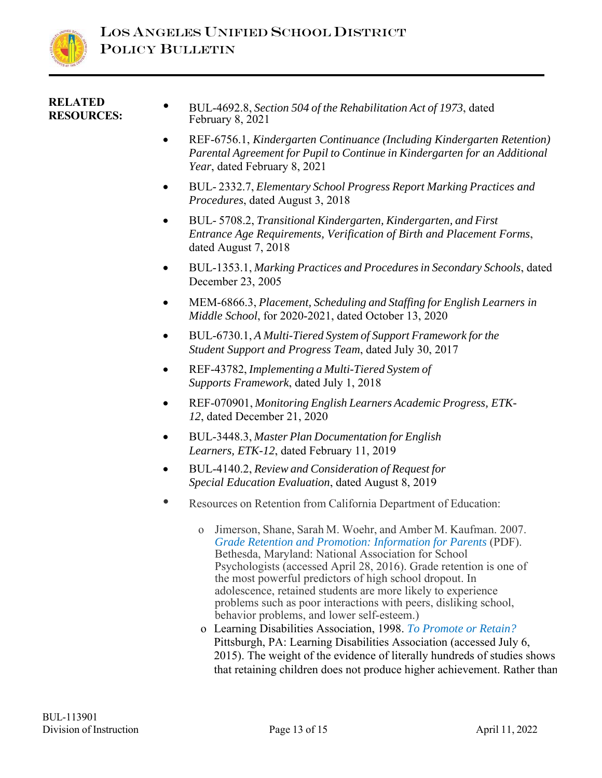

#### **RELATED RESOURCES:**

- BUL-4692.8, *Section 504 of the Rehabilitation Act of 1973*, dated February 8, 2021
- REF-6756.1, *Kindergarten Continuance (Including Kindergarten Retention) Parental Agreement for Pupil to Continue in Kindergarten for an Additional Year*, dated February 8, 2021
- BUL- 2332.7, *Elementary School Progress Report Marking Practices and Procedures*, dated August 3, 2018
- BUL- 5708.2, *Transitional Kindergarten, Kindergarten, and First Entrance Age Requirements, Verification of Birth and Placement Forms*, dated August 7, 2018
- BUL-1353.1, *Marking Practices and Procedures in Secondary Schools*, dated December 23, 2005
- MEM-6866.3, *Placement, Scheduling and Staffing for English Learners in Middle School*, for 2020-2021, dated October 13, 2020
- BUL-6730.1, *A Multi-Tiered System of Support Framework for the Student Support and Progress Team*, dated July 30, 2017
- REF-43782, *Implementing a Multi-Tiered System of Supports Framework*, dated July 1, 2018
- REF-070901, *Monitoring English Learners Academic Progress, ETK-12*, dated December 21, 2020
- BUL-3448.3, *Master Plan Documentation for English Learners, ETK-12*, dated February 11, 2019
- BUL-4140.2, *Review and Consideration of Request for Special Education Evaluation*, dated August 8, 2019
- Resources on Retention from California Department of Education:
	- o Jimerson, Shane, Sarah M. Woehr, and Amber M. Kaufman. 2007. *Grade Retention and Promotion: Information for Parents* (PDF). Bethesda, Maryland: National Association for School Psychologists (accessed April 28, 2016). Grade retention is one of the most powerful predictors of high school dropout. In adolescence, retained students are more likely to experience problems such as poor interactions with peers, disliking school, behavior problems, and lower self-esteem.)
	- o Learning Disabilities Association, 1998. *To Promote or Retain?*  Pittsburgh, PA: Learning Disabilities Association (accessed July 6, 2015). The weight of the evidence of literally hundreds of studies shows that retaining children does not produce higher achievement. Rather than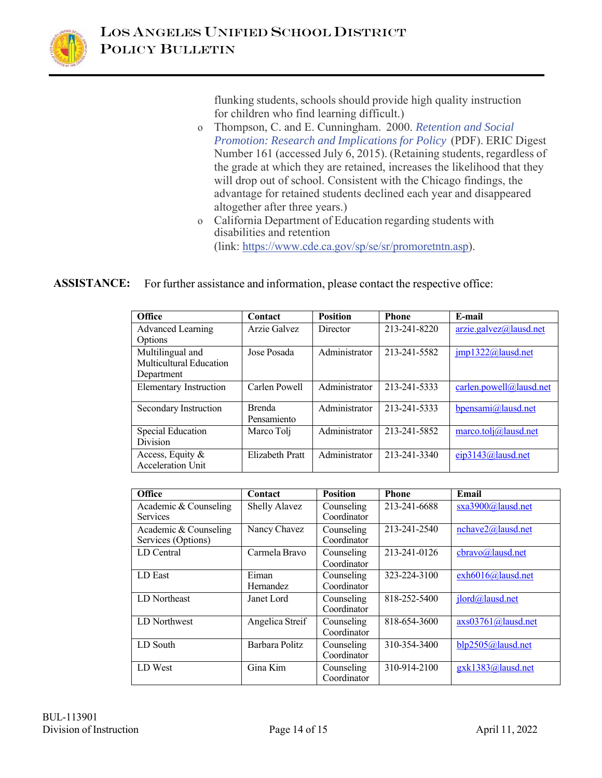

flunking students, schools should provide high quality instruction for children who find learning difficult.)

- o Thompson, C. and E. Cunningham. 2000. *Retention and Social Promotion: Research and Implications for Policy* (PDF). ERIC Digest Number 161 (accessed July 6, 2015). (Retaining students, regardless of the grade at which they are retained, increases the likelihood that they will drop out of school. Consistent with the Chicago findings, the advantage for retained students declined each year and disappeared altogether after three years.)
- o California Department of Education regarding students with disabilities and retention (link: https://www.cde.ca.gov/sp/se/sr/promoretntn.asp).

**ASSISTANCE:** For further assistance and information, please contact the respective office:

| <b>Office</b>                                             | Contact                      | <b>Position</b> | <b>Phone</b> | E-mail                  |
|-----------------------------------------------------------|------------------------------|-----------------|--------------|-------------------------|
| Advanced Learning<br>Options                              | Arzie Galvez                 | Director        | 213-241-8220 | arzie.galvez@lausd.net  |
| Multilingual and<br>Multicultural Education<br>Department | Jose Posada                  | Administrator   | 213-241-5582 | imp1322@lausd.net       |
| <b>Elementary Instruction</b>                             | Carlen Powell                | Administrator   | 213-241-5333 | carlen.powell@lausd.net |
| Secondary Instruction                                     | <b>Brenda</b><br>Pensamiento | Administrator   | 213-241-5333 | bpensami@lausd.net      |
| Special Education<br><b>Division</b>                      | Marco Toli                   | Administrator   | 213-241-5852 | marco.tolj@lausd.net    |
| Access, Equity &<br><b>Acceleration Unit</b>              | Elizabeth Pratt              | Administrator   | 213-241-3340 | eip3143@lausd.net       |

| <b>Office</b>         | Contact              | <b>Position</b> | <b>Phone</b> | Email              |
|-----------------------|----------------------|-----------------|--------------|--------------------|
| Academic & Counseling | <b>Shelly Alavez</b> | Counseling      | 213-241-6688 | sxa3900@lausd.net  |
| <b>Services</b>       |                      | Coordinator     |              |                    |
| Academic & Counseling | Nancy Chavez         | Counseling      | 213-241-2540 | nchave2@lausd.net  |
| Services (Options)    |                      | Coordinator     |              |                    |
| LD Central            | Carmela Bravo        | Counseling      | 213-241-0126 | cbravo@lausd.net   |
|                       |                      | Coordinator     |              |                    |
| LD East               | Eiman                | Counseling      | 323-224-3100 | exh6016@lausd.net  |
|                       | Hernandez            | Coordinator     |              |                    |
| LD Northeast          | Janet Lord           | Counseling      | 818-252-5400 | jlord@lausd.net    |
|                       |                      | Coordinator     |              |                    |
| LD Northwest          | Angelica Streif      | Counseling      | 818-654-3600 | axs03761@lausd.net |
|                       |                      | Coordinator     |              |                    |
| LD South              | Barbara Politz       | Counseling      | 310-354-3400 | blp2505@lausd.net  |
|                       |                      | Coordinator     |              |                    |
| LD West               | Gina Kim             | Counseling      | 310-914-2100 | gxk1383@lausd.net  |
|                       |                      | Coordinator     |              |                    |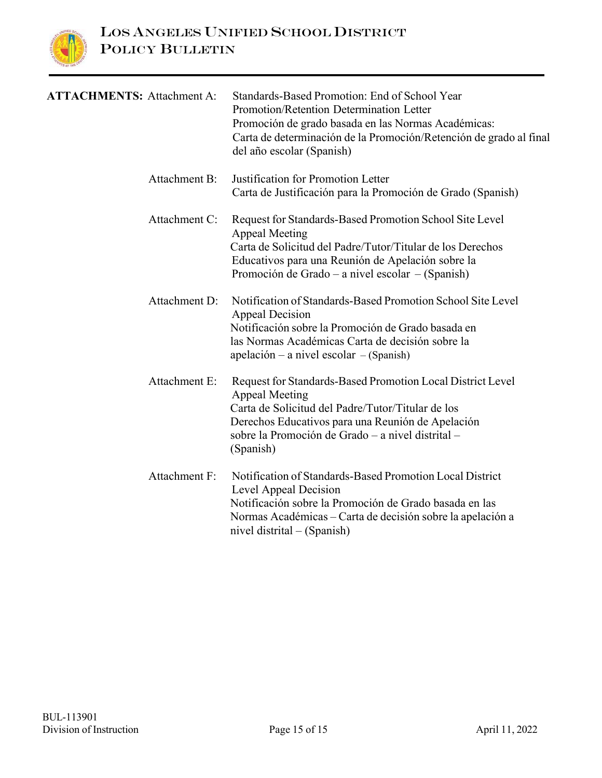

| <b>ATTACHMENTS: Attachment A:</b> | Standards-Based Promotion: End of School Year<br>Promotion/Retention Determination Letter<br>Promoción de grado basada en las Normas Académicas:<br>Carta de determinación de la Promoción/Retención de grado al final<br>del año escolar (Spanish)             |
|-----------------------------------|-----------------------------------------------------------------------------------------------------------------------------------------------------------------------------------------------------------------------------------------------------------------|
| Attachment B:                     | Justification for Promotion Letter<br>Carta de Justificación para la Promoción de Grado (Spanish)                                                                                                                                                               |
| Attachment C:                     | Request for Standards-Based Promotion School Site Level<br><b>Appeal Meeting</b><br>Carta de Solicitud del Padre/Tutor/Titular de los Derechos<br>Educativos para una Reunión de Apelación sobre la<br>Promoción de Grado – a nivel escolar – (Spanish)         |
| Attachment D:                     | Notification of Standards-Based Promotion School Site Level<br><b>Appeal Decision</b><br>Notificación sobre la Promoción de Grado basada en<br>las Normas Académicas Carta de decisión sobre la<br>$apelación - a nivel escolar - (Spanish)$                    |
| Attachment E:                     | Request for Standards-Based Promotion Local District Level<br><b>Appeal Meeting</b><br>Carta de Solicitud del Padre/Tutor/Titular de los<br>Derechos Educativos para una Reunión de Apelación<br>sobre la Promoción de Grado – a nivel distrital –<br>(Spanish) |
| <b>Attachment F:</b>              | Notification of Standards-Based Promotion Local District<br>Level Appeal Decision<br>Notificación sobre la Promoción de Grado basada en las<br>Normas Académicas – Carta de decisión sobre la apelación a<br>nivel distrital $-$ (Spanish)                      |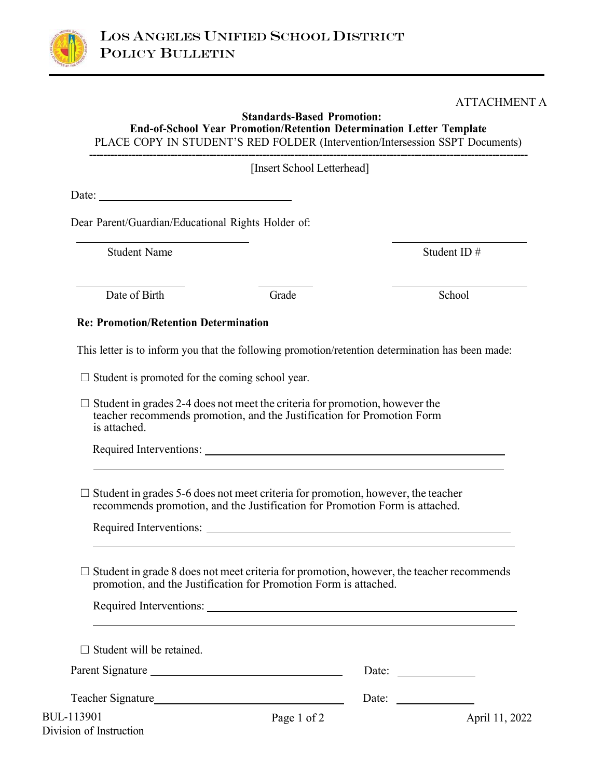

#### ATTACHMENT A

#### **Standards-Based Promotion: End-of-School Year Promotion/Retention Determination Letter Template**

PLACE COPY IN STUDENT'S RED FOLDER (Intervention/Intersession SSPT Documents) **----------------------------------------------------------------------------------------------------------------------------**

[Insert School Letterhead]

Date:

Dear Parent/Guardian/Educational Rights Holder of:

Student Name Student ID  $#$ 

Date of Birth Grade School

#### **Re: Promotion/Retention Determination**

This letter is to inform you that the following promotion/retention determination has been made:

 $\Box$  Student is promoted for the coming school year.

 $\Box$  Student in grades 2-4 does not meet the criteria for promotion, however the teacher recommends promotion, and the Justification for Promotion Form is attached.

Required Interventions:

 $\Box$  Student in grades 5-6 does not meet criteria for promotion, however, the teacher recommends promotion, and the Justification for Promotion Form is attached.

Required Interventions:

 $\Box$  Student in grade 8 does not meet criteria for promotion, however, the teacher recommends promotion, and the Justification for Promotion Form is attached.

| Required Interventions:               |             |                              |                |
|---------------------------------------|-------------|------------------------------|----------------|
| $\Box$ Student will be retained.      |             |                              |                |
|                                       |             | Date: $\qquad \qquad \qquad$ |                |
| Teacher Signature <b>Example 2018</b> |             | Date: $\qquad \qquad \qquad$ |                |
| 13901                                 | Page 1 of 2 |                              | April 11, 2022 |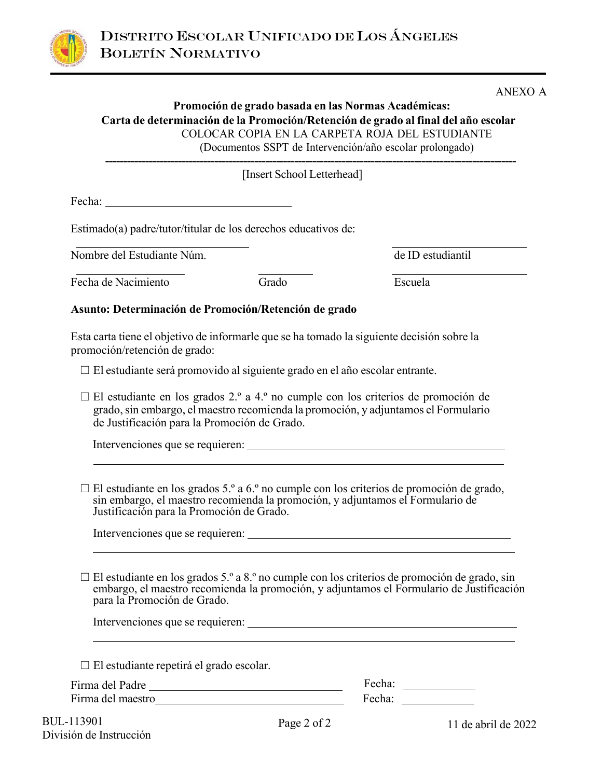

ANEXO A

#### **Promoción de grado basada en las Normas Académicas: Carta de determinación de la Promoción/Retención de grado al final del año escolar**  COLOCAR COPIA EN LA CARPETA ROJA DEL ESTUDIANTE (Documentos SSPT de Intervención/año escolar prolongado) **-----------------------------------------------------------------------------------------------------------------**

[Insert School Letterhead]

Fecha:

Estimado(a) padre/tutor/titular de los derechos educativos de:

Nombre del Estudiante Núm.

Fecha de Nacimiento Grado Escuela

**Asunto: Determinación de Promoción/Retención de grado** 

Esta carta tiene el objetivo de informarle que se ha tomado la siguiente decisión sobre la promoción/retención de grado:

☐ El estudiante será promovido al siguiente grado en el año escolar entrante.

 $\Box$  El estudiante en los grados 2.º a 4.º no cumple con los criterios de promoción de grado, sin embargo, el maestro recomienda la promoción, y adjuntamos el Formulario de Justificación para la Promoción de Grado.

Intervenciones que se requieren:

 $\Box$  El estudiante en los grados 5.º a 6.º no cumple con los criterios de promoción de grado, sin embargo, el maestro recomienda la promoción, y adjuntamos el Formulario de Justificación para la Promoción de Grado.

Intervenciones que se requieren:

 $\Box$  El estudiante en los grados 5.º a 8.º no cumple con los criterios de promoción de grado, sin embargo, el maestro recomienda la promoción, y adjuntamos el Formulario de Justificación para la Promoción de Grado.

Intervenciones que se requieren:

 $\Box$  El estudiante repetirá el grado escolar.

| Firma del Padre   | Fecha: |
|-------------------|--------|
| Firma del maestro | Fecha: |

BUL-113901 División de Instrucción

Page 2 of 2 11 de abril de 2022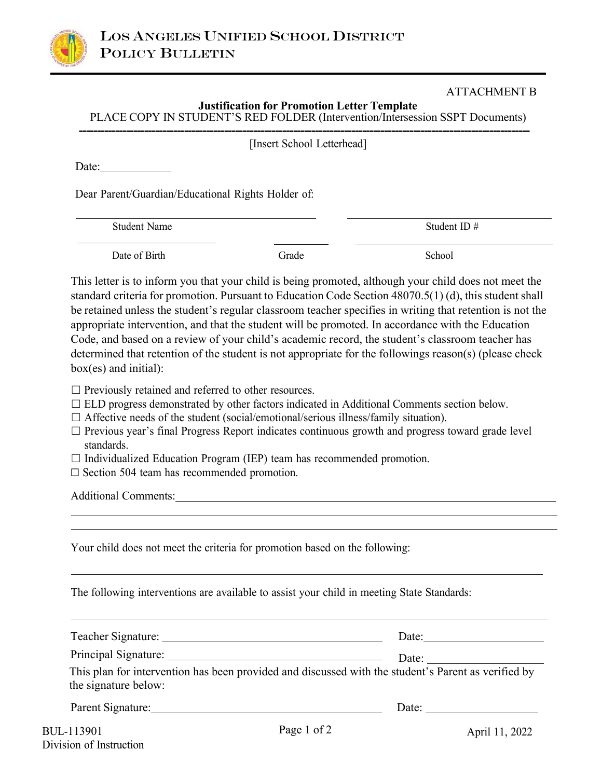

### ATTACHMENT B

| <b>Justification for Promotion Letter Template</b>                            |
|-------------------------------------------------------------------------------|
| PLACE COPY IN STUDENT'S RED FOLDER (Intervention/Intersession SSPT Documents) |
|                                                                               |

| [Insert School Letterhead] |
|----------------------------|
|----------------------------|

Date:

Dear Parent/Guardian/Educational Rights Holder of:

Student Name Student ID #

Date of Birth Grade School School School School School School School School School School School School School

This letter is to inform you that your child is being promoted, although your child does not meet the standard criteria for promotion. Pursuant to Education Code Section 48070.5(1) (d), this student shall be retained unless the student's regular classroom teacher specifies in writing that retention is not the appropriate intervention, and that the student will be promoted. In accordance with the Education Code, and based on a review of your child's academic record, the student's classroom teacher has determined that retention of the student is not appropriate for the followings reason(s) (please check box(es) and initial):

- $\Box$  Previously retained and referred to other resources.
- □ ELD progress demonstrated by other factors indicated in Additional Comments section below.
- ☐ Affective needs of the student (social/emotional/serious illness/family situation).
- ☐ Previous year's final Progress Report indicates continuous growth and progress toward grade level standards.
- $\Box$  Individualized Education Program (IEP) team has recommended promotion.
- ☐ Section 504 team has recommended promotion.

Additional Comments:

Your child does not meet the criteria for promotion based on the following:

The following interventions are available to assist your child in meeting State Standards:

| Teacher Signature:                                                                                                          | Date: |
|-----------------------------------------------------------------------------------------------------------------------------|-------|
|                                                                                                                             | Date: |
| This plan for intervention has been provided and discussed with the student's Parent as verified by<br>the signature below: |       |
| Parent Signature:                                                                                                           | Date: |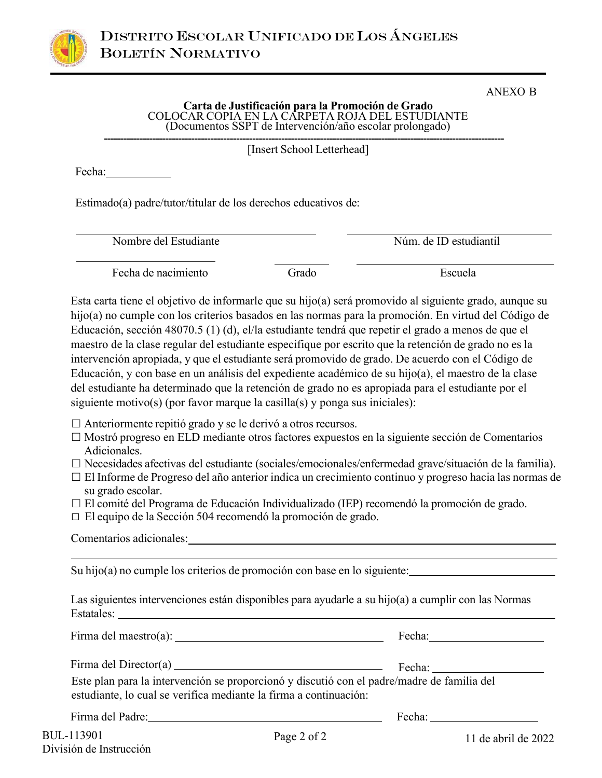

## ANEXO B

## **Carta de Justificación para la Promoción de Grado** COLOCAR COPIA EN LA CARPETA ROJA DEL ESTUDIANTE (Documentos SSPT de Intervención/año escolar prolongado)

**----------------------------------------------------------------------------------------------------------------------------** [Insert School Letterhead]

Fecha:

Estimado(a) padre/tutor/titular de los derechos educativos de:

Nombre del Estudiante Núm. de ID estudiantil

Fecha de nacimiento Grado Escuela

Esta carta tiene el objetivo de informarle que su hijo(a) será promovido al siguiente grado, aunque su hijo(a) no cumple con los criterios basados en las normas para la promoción. En virtud del Código de Educación, sección 48070.5 (1) (d), el/la estudiante tendrá que repetir el grado a menos de que el maestro de la clase regular del estudiante especifique por escrito que la retención de grado no es la intervención apropiada, y que el estudiante será promovido de grado. De acuerdo con el Código de Educación, y con base en un análisis del expediente académico de su hijo(a), el maestro de la clase del estudiante ha determinado que la retención de grado no es apropiada para el estudiante por el siguiente motivo(s) (por favor marque la casilla(s) y ponga sus iniciales):

 $\Box$  Anteriormente repitió grado y se le derivó a otros recursos.

- ☐ Mostró progreso en ELD mediante otros factores expuestos en la siguiente sección de Comentarios Adicionales.
- ☐ Necesidades afectivas del estudiante (sociales/emocionales/enfermedad grave/situación de la familia).
- ☐ El Informe de Progreso del año anterior indica un crecimiento continuo y progreso hacia las normas de su grado escolar.
- ☐ El comité del Programa de Educación Individualizado (IEP) recomendó la promoción de grado.
- ☐ El equipo de la Sección 504 recomendó la promoción de grado.

Comentarios adicionales:

Su hijo(a) no cumple los criterios de promoción con base en lo siguiente:

Las siguientes intervenciones están disponibles para ayudarle a su hijo(a) a cumplir con las Normas Estatales:

|                                                                                                                                                                 | Fecha: $\frac{1}{\sqrt{1-\frac{1}{2}} \cdot \frac{1}{2}}$                                                                                                                                                                                                                                                                                                                                                    |
|-----------------------------------------------------------------------------------------------------------------------------------------------------------------|--------------------------------------------------------------------------------------------------------------------------------------------------------------------------------------------------------------------------------------------------------------------------------------------------------------------------------------------------------------------------------------------------------------|
| Este plan para la intervención se proporcionó y discutió con el padre/madre de familia del<br>estudiante, lo cual se verifica mediante la firma a continuación: | Fecha: $\frac{1}{\sqrt{1-\frac{1}{2}}\sqrt{1-\frac{1}{2}}\sqrt{1-\frac{1}{2}}\sqrt{1-\frac{1}{2}}\sqrt{1-\frac{1}{2}}\sqrt{1-\frac{1}{2}}\sqrt{1-\frac{1}{2}}\sqrt{1-\frac{1}{2}}\sqrt{1-\frac{1}{2}}\sqrt{1-\frac{1}{2}}\sqrt{1-\frac{1}{2}}\sqrt{1-\frac{1}{2}}\sqrt{1-\frac{1}{2}}\sqrt{1-\frac{1}{2}}\sqrt{1-\frac{1}{2}}\sqrt{1-\frac{1}{2}}\sqrt{1-\frac{1}{2}}\sqrt{1-\frac{1}{2}}\sqrt{1-\frac{1}{2$ |
| Firma del Padre: a contra contra la contra del Padre:                                                                                                           | Fecha: The contract of the contract of the contract of the contract of the contract of the contract of the contract of the contract of the contract of the contract of the contract of the contract of the contract of the con                                                                                                                                                                               |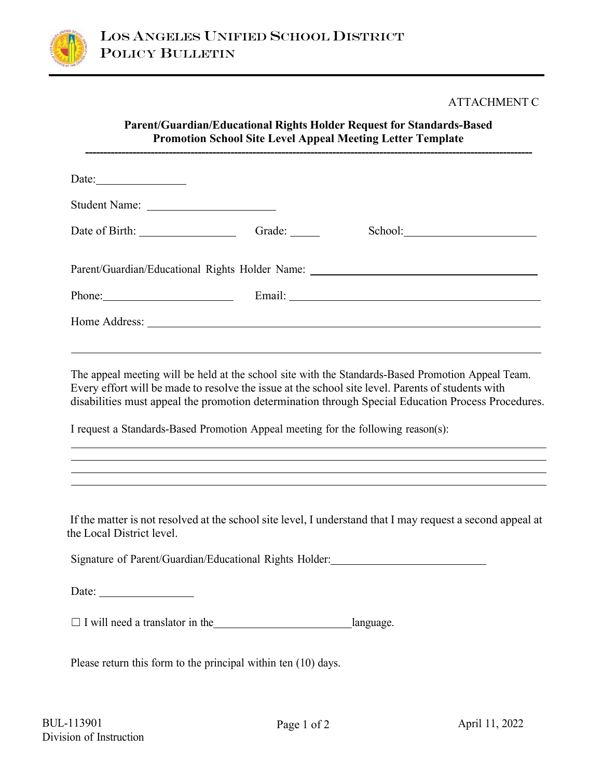

#### ATTACHMENT C

#### **Parent/Guardian/Educational Rights Holder Request for Standards-Based Promotion School Site Level Appeal Meeting Letter Template ---------------------------------------------------------------------------------------------------------------------------**

| Date: $\qquad \qquad$                                                                                                                                                                                                          |        |  |
|--------------------------------------------------------------------------------------------------------------------------------------------------------------------------------------------------------------------------------|--------|--|
|                                                                                                                                                                                                                                |        |  |
|                                                                                                                                                                                                                                | Grade: |  |
| Parent/Guardian/Educational Rights Holder Name: _________________________________                                                                                                                                              |        |  |
| Phone: Phone Phone Phone Phone Phone Phone Phone Phone Phone Phone Phone Phone Phone Phone Phone Phone Phone Phone Phone Phone Phone Phone Phone Phone Phone Phone Phone Phone Phone Phone Phone Phone Phone Phone Phone Phone |        |  |
|                                                                                                                                                                                                                                |        |  |

The appeal meeting will be held at the school site with the Standards-Based Promotion Appeal Team. Every effort will be made to resolve the issue at the school site level. Parents of students with disabilities must appeal the promotion determination through Special Education Process Procedures.

I request a Standards-Based Promotion Appeal meeting for the following reason(s):

 If the matter is not resolved at the school site level, I understand that I may request a second appeal at the Local District level.

Signature of Parent/Guardian/Educational Rights Holder:

Date:

 $\Box$  I will need a translator in the language.

Please return this form to the principal within ten (10) days.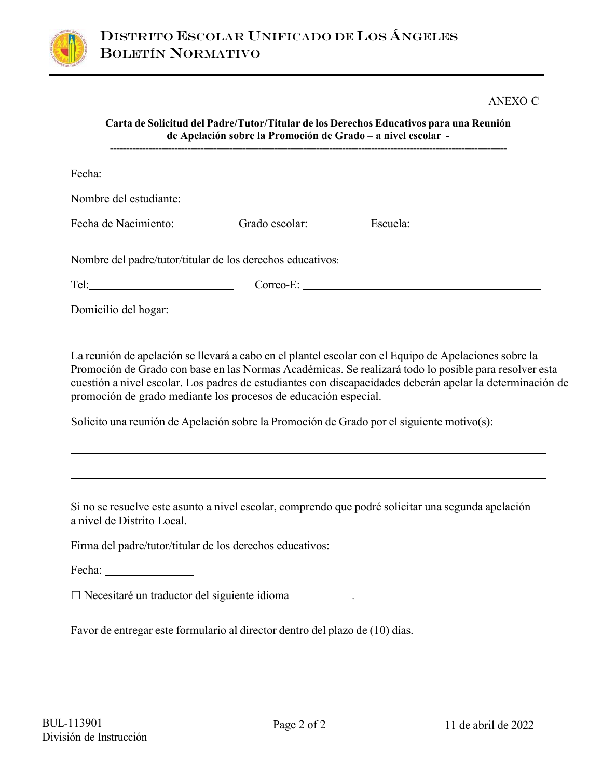

## ANEXO C

| Fecha: Fechandren Press, 2014 |                                                                                                                                                                                                                                                                                                                                                                                                                                                                                             |
|-------------------------------|---------------------------------------------------------------------------------------------------------------------------------------------------------------------------------------------------------------------------------------------------------------------------------------------------------------------------------------------------------------------------------------------------------------------------------------------------------------------------------------------|
|                               |                                                                                                                                                                                                                                                                                                                                                                                                                                                                                             |
|                               | Fecha de Nacimiento: Carlo escolar: Carlo escolar: Carlo escuela: Carlo escuela: Carlo escolari escuela: Carlo escolari escuela: Carlo escuela: Carlo escuela: Carlo escuela: Carlo escuela: Carlo escuela: Carlo escuela: Car                                                                                                                                                                                                                                                              |
|                               | Nombre del padre/tutor/titular de los derechos educativos: ______________________                                                                                                                                                                                                                                                                                                                                                                                                           |
|                               | Tel: Correo-E: Correo-E: Correo-E: Correo-E: Correo-E: Correo-E: Correo-E: Correo-E: Correo-E: Correo-E: Correo-E: Correo-E: Correo-E: Correo-E: Correo-E: Correo-E: Correo-E: Correo-E: Correo-E: Correo-E: Correo-E: Correo-                                                                                                                                                                                                                                                              |
|                               |                                                                                                                                                                                                                                                                                                                                                                                                                                                                                             |
|                               |                                                                                                                                                                                                                                                                                                                                                                                                                                                                                             |
|                               | La reunión de apelación se llevará a cabo en el plantel escolar con el Equipo de Apelaciones sobre la<br>Promoción de Grado con base en las Normas Académicas. Se realizará todo lo posible para resolver esta<br>cuestión a nivel escolar. Los padres de estudiantes con discapacidades deberán apelar la determinación de<br>promoción de grado mediante los procesos de educación especial.<br>Solicito una reunión de Apelación sobre la Promoción de Grado por el siguiente motivo(s): |
| a nivel de Distrito Local.    | Si no se resuelve este asunto a nivel escolar, comprendo que podré solicitar una segunda apelación                                                                                                                                                                                                                                                                                                                                                                                          |
|                               | Firma del padre/tutor/titular de los derechos educativos:_______________________                                                                                                                                                                                                                                                                                                                                                                                                            |
|                               |                                                                                                                                                                                                                                                                                                                                                                                                                                                                                             |
|                               | □ Necesitaré un traductor del siguiente idioma                                                                                                                                                                                                                                                                                                                                                                                                                                              |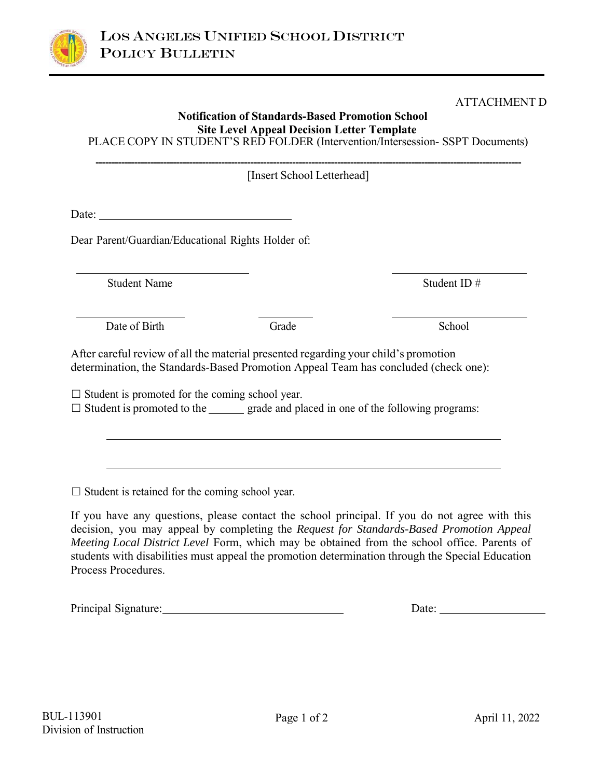

ATTACHMENT D

# **Notification of Standards-Based Promotion School Site Level Appeal Decision Letter Template**  PLACE COPY IN STUDENT'S RED FOLDER (Intervention/Intersession- SSPT Documents) **------------------------------------------------------------------------------------------------------------------------------------** [Insert School Letterhead] Date: Dear Parent/Guardian/Educational Rights Holder of: Student Name Student ID  $\#$ Date of Birth Grade School After careful review of all the material presented regarding your child's promotion determination, the Standards-Based Promotion Appeal Team has concluded (check one):  $\Box$  Student is promoted for the coming school year.  $\Box$  Student is promoted to the grade and placed in one of the following programs:  $\Box$  Student is retained for the coming school year. If you have any questions, please contact the school principal. If you do not agree with this decision, you may appeal by completing the *Request for Standards-Based Promotion Appeal Meeting Local District Level* Form, which may be obtained from the school office. Parents of students with disabilities must appeal the promotion determination through the Special Education

Principal Signature: Date: Date:

Process Procedures.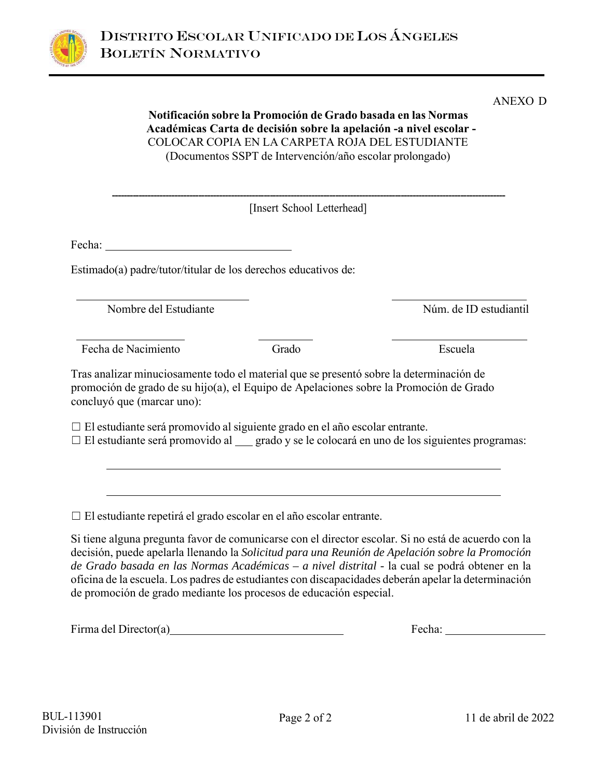

**Notificación sobre la Promoción de Grado basada en las Normas** 

|                            | [Insert School Letterhead]                                                                                                                                                            |                        |
|----------------------------|---------------------------------------------------------------------------------------------------------------------------------------------------------------------------------------|------------------------|
| Fecha:                     |                                                                                                                                                                                       |                        |
|                            | Estimado(a) padre/tutor/titular de los derechos educativos de:                                                                                                                        |                        |
| Nombre del Estudiante      |                                                                                                                                                                                       | Núm. de ID estudiantil |
| Fecha de Nacimiento        | Grado                                                                                                                                                                                 | Escuela                |
|                            | Tras analizar minuciosamente todo el material que se presentó sobre la determinación de<br>promoción de grado de su hijo(a), el Equipo de Apelaciones sobre la Promoción de Grado     |                        |
| concluyó que (marcar uno): | $\Box$ El estudiante será promovido al siguiente grado en el año escolar entrante.<br>□ El estudiante será promovido al __ grado y se le colocará en uno de los siguientes programas: |                        |

*de Grado basada en las Normas Académicas – a nivel distrital -* la cual se podrá obtener en la oficina de la escuela. Los padres de estudiantes con discapacidades deberán apelar la determinación de promoción de grado mediante los procesos de educación especial.

Firma del Director(a) Firma del Director(a) Fecha: Fecha: Fecha: Fecha:

ANEXO D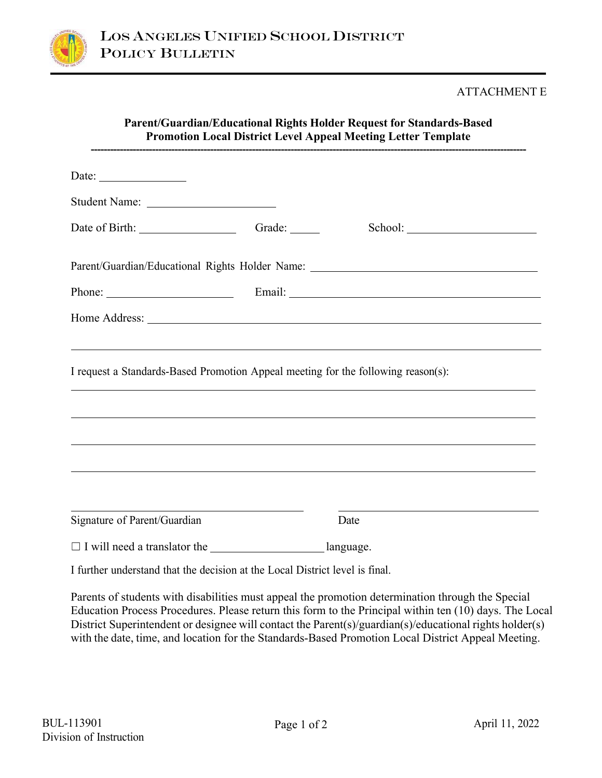

## ATTACHMENT E

| Parent/Guardian/Educational Rights Holder Request for Standards-Based<br><b>Promotion Local District Level Appeal Meeting Letter Template</b>                                                                                  |                            |                                                                                                                                                                                                                                                           |  |  |
|--------------------------------------------------------------------------------------------------------------------------------------------------------------------------------------------------------------------------------|----------------------------|-----------------------------------------------------------------------------------------------------------------------------------------------------------------------------------------------------------------------------------------------------------|--|--|
| Date: $\frac{1}{\sqrt{1-\frac{1}{2}} \cdot \frac{1}{2}}$                                                                                                                                                                       |                            |                                                                                                                                                                                                                                                           |  |  |
|                                                                                                                                                                                                                                |                            |                                                                                                                                                                                                                                                           |  |  |
|                                                                                                                                                                                                                                | Grade: $\_\_\_\_\_\_\_\_\$ |                                                                                                                                                                                                                                                           |  |  |
| Parent/Guardian/Educational Rights Holder Name: _________________________________                                                                                                                                              |                            |                                                                                                                                                                                                                                                           |  |  |
| Phone: Email: Email: Email: Email: Email: Email: Email: Email: Email: Email: Email: Email: Email: Email: Email: Email: Email: Email: Email: Email: Email: Email: Email: Email: Email: Email: Email: Email: Email: Email: Email |                            |                                                                                                                                                                                                                                                           |  |  |
|                                                                                                                                                                                                                                |                            |                                                                                                                                                                                                                                                           |  |  |
| I request a Standards-Based Promotion Appeal meeting for the following reason(s):                                                                                                                                              |                            |                                                                                                                                                                                                                                                           |  |  |
|                                                                                                                                                                                                                                |                            | ,我们也不会有一个人的事情。""我们的人们,我们也不会有一个人的人,我们也不会有一个人的人,我们也不会有一个人的人,我们也不会有一个人的人,我们也不会有一个人的<br>第一百一十一章 我们的人,我们的人们的人们,我们的人们的人们的人们,我们的人们的人们的人们,我们的人们的人们,我们的人们的人们,我们的人们的人们,我们的人们的人<br>,我们也不能会有一个人的事情。""我们的人,我们也不能会有一个人的人,我们也不能会有一个人的人,我们也不能会有一个人的人。""我们的人,我们也不能会有一个人的人, |  |  |
|                                                                                                                                                                                                                                |                            | ,我们也不会有什么。""我们的人,我们也不会有什么?""我们的人,我们也不会有什么?""我们的人,我们也不会有什么?""我们的人,我们也不会有什么?""我们的人                                                                                                                                                                          |  |  |
| Signature of Parent/Guardian                                                                                                                                                                                                   |                            | Date                                                                                                                                                                                                                                                      |  |  |
| □ I will need a translator the ____________________________language.                                                                                                                                                           |                            |                                                                                                                                                                                                                                                           |  |  |
| I further understand that the decision at the Local District level is final.                                                                                                                                                   |                            |                                                                                                                                                                                                                                                           |  |  |

Parents of students with disabilities must appeal the promotion determination through the Special Education Process Procedures. Please return this form to the Principal within ten (10) days. The Local District Superintendent or designee will contact the Parent(s)/guardian(s)/educational rights holder(s) with the date, time, and location for the Standards-Based Promotion Local District Appeal Meeting.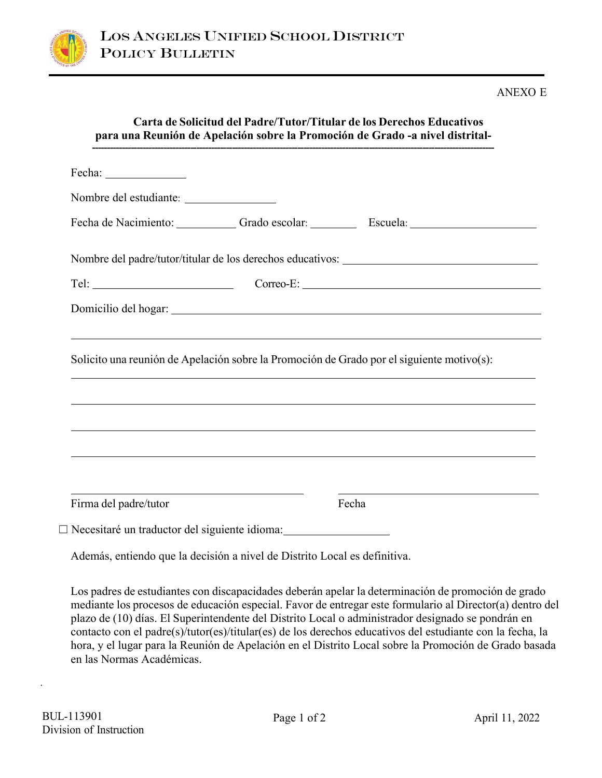

#### ANEXO E

|                       |                                                                                                                       | Fecha de Nacimiento: Grado escolar: Escuela: Escuela:                                     |
|-----------------------|-----------------------------------------------------------------------------------------------------------------------|-------------------------------------------------------------------------------------------|
|                       |                                                                                                                       | Nombre del padre/tutor/titular de los derechos educativos: ______________________         |
|                       |                                                                                                                       | Correo-E:                                                                                 |
|                       |                                                                                                                       |                                                                                           |
|                       |                                                                                                                       |                                                                                           |
|                       |                                                                                                                       |                                                                                           |
|                       |                                                                                                                       | Solicito una reunión de Apelación sobre la Promoción de Grado por el siguiente motivo(s): |
|                       |                                                                                                                       |                                                                                           |
|                       |                                                                                                                       | ,我们也不能会有一个人的事情。""我们的人们是不是我们的人,我们也不能会有一个人的人,我们也不能会有一个人的人,我们也不能会有一个人的人,我们也不能会有一个人的人         |
|                       |                                                                                                                       |                                                                                           |
|                       |                                                                                                                       |                                                                                           |
|                       |                                                                                                                       |                                                                                           |
| Firma del padre/tutor | <u> 1989 - Johann Barbara, martin amerikan basar dan basa dan basar dan basar dalam basa dalam basa dalam basa da</u> | Fecha                                                                                     |

Los padres de estudiantes con discapacidades deberán apelar la determinación de promoción de grado mediante los procesos de educación especial. Favor de entregar este formulario al Director(a) dentro del plazo de (10) días. El Superintendente del Distrito Local o administrador designado se pondrán en contacto con el padre(s)/tutor(es)/titular(es) de los derechos educativos del estudiante con la fecha, la hora, y el lugar para la Reunión de Apelación en el Distrito Local sobre la Promoción de Grado basada en las Normas Académicas.

.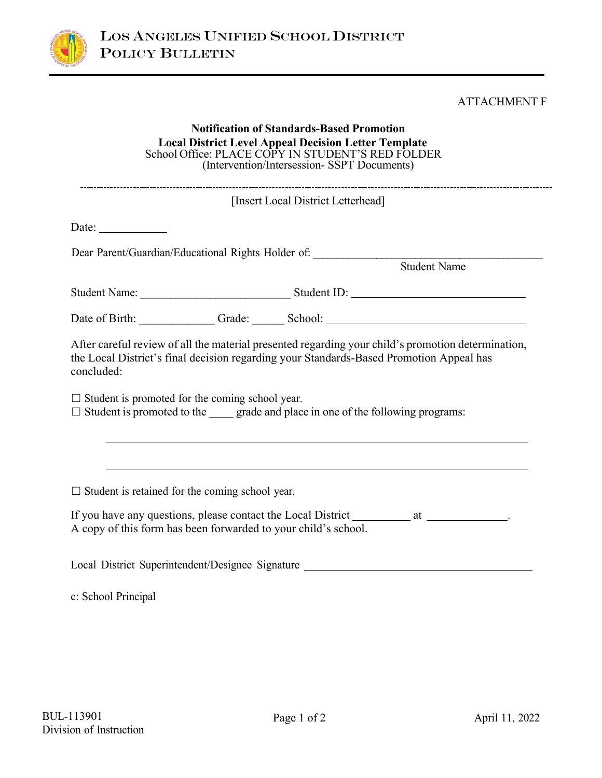

## ATTACHMENT F

| <b>Notification of Standards-Based Promotion</b><br>Local District Level Appeal Decision Letter Template<br>School Office: PLACE COPY IN STUDENT'S RED FOLDER<br>(Intervention/Intersession-SSPT Documents) |                                                                                                                                                                                                                                |  |  |  |
|-------------------------------------------------------------------------------------------------------------------------------------------------------------------------------------------------------------|--------------------------------------------------------------------------------------------------------------------------------------------------------------------------------------------------------------------------------|--|--|--|
| [Insert Local District Letterhead]                                                                                                                                                                          |                                                                                                                                                                                                                                |  |  |  |
| Date:                                                                                                                                                                                                       |                                                                                                                                                                                                                                |  |  |  |
|                                                                                                                                                                                                             | Dear Parent/Guardian/Educational Rights Holder of: Student Name                                                                                                                                                                |  |  |  |
|                                                                                                                                                                                                             |                                                                                                                                                                                                                                |  |  |  |
|                                                                                                                                                                                                             | Date of Birth: Camerander Caracter Caracter Caracter Caracter Caracter Caracter Caracter Caracter Caracter Caracter Caracter Caracter Caracter Caracter Caracter Caracter Caracter Caracter Caracter Caracter Caracter Caracte |  |  |  |
| the Local District's final decision regarding your Standards-Based Promotion Appeal has<br>concluded:                                                                                                       | After careful review of all the material presented regarding your child's promotion determination,                                                                                                                             |  |  |  |
| $\Box$ Student is promoted for the coming school year.<br>$\Box$ Student is promoted to the $\Box$ grade and place in one of the following programs:                                                        |                                                                                                                                                                                                                                |  |  |  |
| $\Box$ Student is retained for the coming school year.                                                                                                                                                      | <u> 1989 - Johann Stoff, amerikansk politiker (d. 1989)</u>                                                                                                                                                                    |  |  |  |
| A copy of this form has been forwarded to your child's school.                                                                                                                                              | If you have any questions, please contact the Local District _________________________.                                                                                                                                        |  |  |  |
|                                                                                                                                                                                                             | Local District Superintendent/Designee Signature                                                                                                                                                                               |  |  |  |

c: School Principal